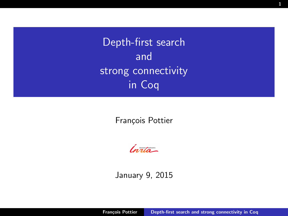Depth-first search and strong connectivity in Coq

François Pottier

<span id="page-0-0"></span> $ln<sub>2</sub>1a -$ 

January 9, 2015

François Pottier [Depth-first search and strong connectivity in Coq](#page-28-0)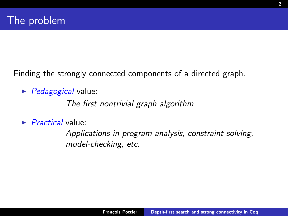Finding the strongly connected components of a directed graph.

 $\blacktriangleright$  *Pedagogical* value:

The first nontrivial graph algorithm.

 $\blacktriangleright$  *Practical* value:

Applications in program analysis, constraint solving, model-checking, etc.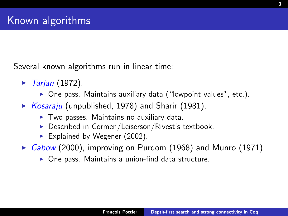Several known algorithms run in linear time:

- $\blacktriangleright$  Tarjan (1972).
	- $\triangleright$  One pass. Maintains auxiliary data ("lowpoint values", etc.).
- $\triangleright$  Kosaraju (unpublished, 1978) and Sharir (1981).
	- $\triangleright$  Two passes. Maintains no auxiliary data.
	- $\triangleright$  Described in Cormen/Leiserson/Rivest's textbook.
	- Explained by Wegener  $(2002)$ .
- Gabow (2000), improving on Purdom (1968) and Munro (1971).
	- $\triangleright$  One pass. Maintains a union-find data structure.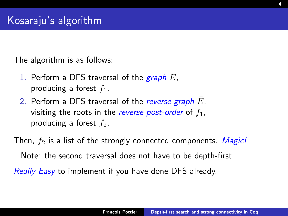The algorithm is as follows:

- 1. Perform a DFS traversal of the  $graph E$ , producing a forest  $f_1$ .
- 2. Perform a DFS traversal of the reverse graph  $E$ , visiting the roots in the reverse post-order of  $f_1$ , producing a forest  $f_2$ .

Then,  $f_2$  is a list of the strongly connected components. Magic!

– Note: the second traversal does not have to be depth-first.

Really Easy to implement if you have done DFS already.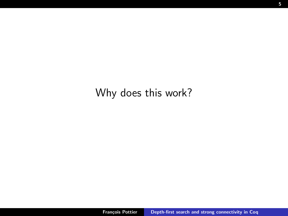#### Why does this work?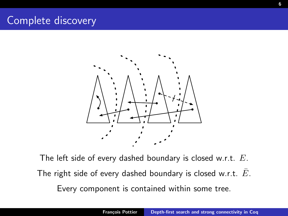#### Complete discovery



The left side of every dashed boundary is closed w.r.t.  $E$ . The right side of every dashed boundary is closed w.r.t.  $\overline{E}$ . Every component is contained within some tree.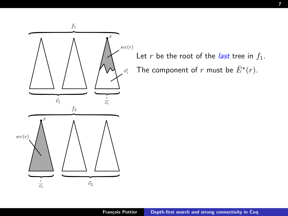

Let r be the root of the *last* tree in  $f_1$ . The component of r must be  $\bar{E}^{\star}(r)$ .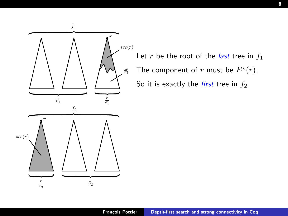

Let r be the root of the *last* tree in  $f_1$ . The component of r must be  $\bar{E}^{\star}(r)$ . So it is exactly the *first* tree in  $f_2$ .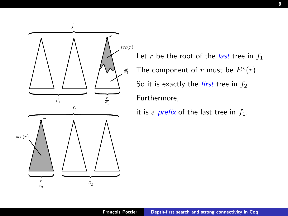

Let r be the root of the *last* tree in  $f_1$ . The component of r must be  $\bar{E}^{\star}(r)$ . So it is exactly the *first* tree in  $f_2$ . Furthermore,

it is a *prefix* of the last tree in  $f_1$ .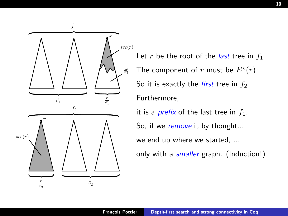

Let r be the root of the *last* tree in  $f_1$ . The component of r must be  $\bar{E}^{\star}(r)$ . So it is exactly the *first* tree in  $f_2$ . Furthermore,

it is a *prefix* of the last tree in  $f_1$ . So, if we remove it by thought... we end up where we started, ... only with a *smaller* graph. (Induction!)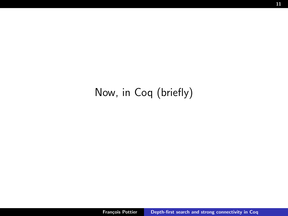### Now, in Coq (briefly)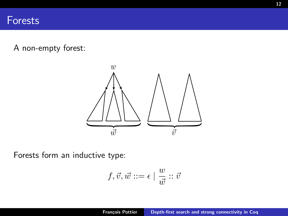A non-empty forest:



Forests form an inductive type:

$$
f,\vec{v},\vec{w}::=\epsilon\mid \frac{w}{\vec{w}}::\vec{v}
$$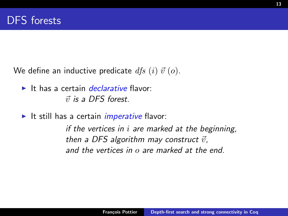We define an inductive predicate  $df_s(i) \vec{v}(o)$ .

- $\blacktriangleright$  It has a certain *declarative* flavor:  $\vec{v}$  is a DES forest.
- It still has a certain *imperative* flavor:

if the vertices in  $i$  are marked at the beginning, then a DFS algorithm may construct  $\vec{v}$ , and the vertices in o are marked at the end.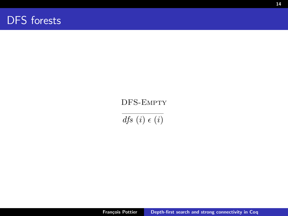

#### DFS-Empty

 $dfs(i) \in (i)$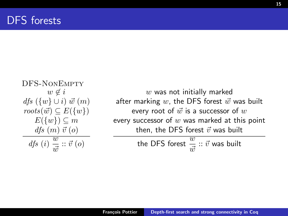$$
\begin{array}{c} \text{DFS-NonEmerty} \\ w \notin i \\ \mathit{dfs}\ (\{w\} \cup i)\ \vec{w}\ (m) \\ \mathit{roots}(\vec{w}) \subseteq E(\{w\}) \\ E(\{w\}) \subseteq m \\ \mathit{dfs}\ (m)\ \vec{v}\ (o) \\ \mathit{dfs}\ (i)\ \frac{w}{\vec{w}}:: \vec{v}\ (o) \end{array}
$$

 $w$  was not initially marked after marking  $w$ , the DFS forest  $\vec{w}$  was built every root of  $\vec{w}$  is a successor of  $w$ every successor of  $w$  was marked at this point then, the DFS forest  $\vec{v}$  was built

the DFS forest 
$$
\frac{w}{\vec{w}} :: \vec{v}
$$
 was built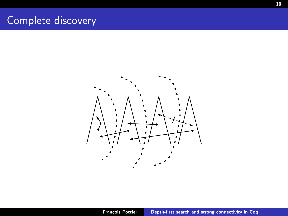#### Complete discovery

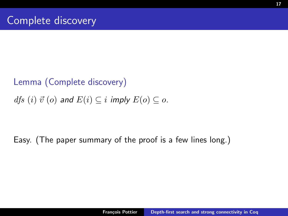# Lemma (Complete discovery) dfs (i)  $\vec{v}$  (o) and  $E(i) \subseteq i$  imply  $E(o) \subseteq o$ .

#### Easy. (The paper summary of the proof is a few lines long.)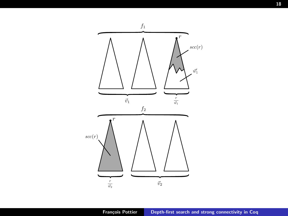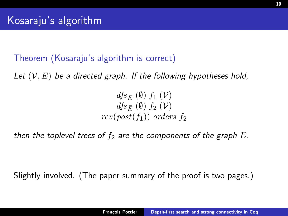Theorem (Kosaraju's algorithm is correct)

Let  $(V, E)$  be a directed graph. If the following hypotheses hold,

 $dfs_E(\emptyset)$   $f_1(\mathcal{V})$  $dfs_{\overline{E}}(\emptyset)$   $f_2(\mathcal{V})$  $rev(post(f_1))$  orders  $f_2$ 

then the toplevel trees of  $f_2$  are the components of the graph E.

Slightly involved. (The paper summary of the proof is two pages.)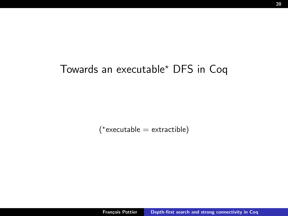#### Towards an executable? DFS in Coq

( ? executable = extractible)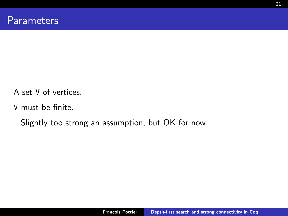- A set V of vertices.
- V must be finite.
- Slightly too strong an assumption, but OK for now.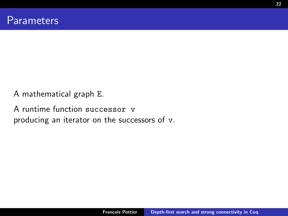A mathematical graph E.

A runtime function successor v producing an iterator on the successors of v.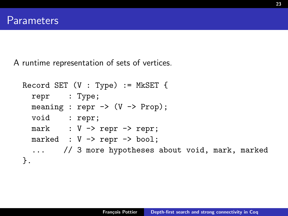A runtime representation of sets of vertices.

```
Record SET (V : Type) := MkSET {
  repr : Type;
  meaning : repr \rightarrow (V \rightarrow Prop);
  void : repr;
  mark : V \rightarrow repr \rightarrow repr;
  marked : V -> repr -> bool;
  ... // 3 more hypotheses about void, mark, marked
}.
```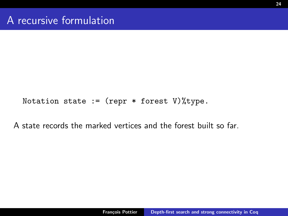Notation state := (repr  $*$  forest V)% type.

A state records the marked vertices and the forest built so far.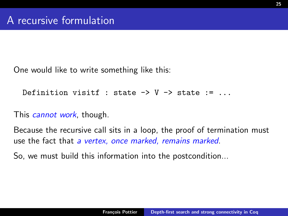One would like to write something like this:

```
Definition visitf : state \rightarrow V \rightarrow state := ...
```
This *cannot work*, though.

Because the recursive call sits in a loop, the proof of termination must use the fact that a vertex, once marked, remains marked.

So, we must build this information into the postcondition...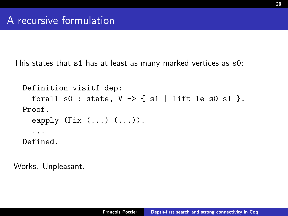This states that s1 has at least as many marked vertices as s0:

```
Definition visitf_dep:
  forall s0: state, V \rightarrow \{ s1 \mid lift le s0 s1 \}.
Proof.
  eapply (Fix (\ldots) (\ldots))....
Defined.
```
Works. Unpleasant.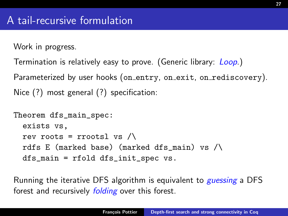Work in progress.

```
Termination is relatively easy to prove. (Generic library: Loop.)
Parameterized by user hooks (on entry, on exit, on rediscovery).
Nice (?) most general (?) specification:
```

```
Theorem dfs_main_spec:
  exists vs,
  rev roots = rrootsl vs \wedgerdfs E (marked base) (marked dfs_main) vs /\
  dfs_main = rfold dfs_init_spec vs.
```
Running the iterative DFS algorithm is equivalent to *guessing* a DFS forest and recursively *folding* over this forest.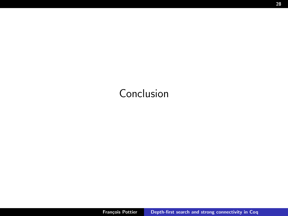## Conclusion